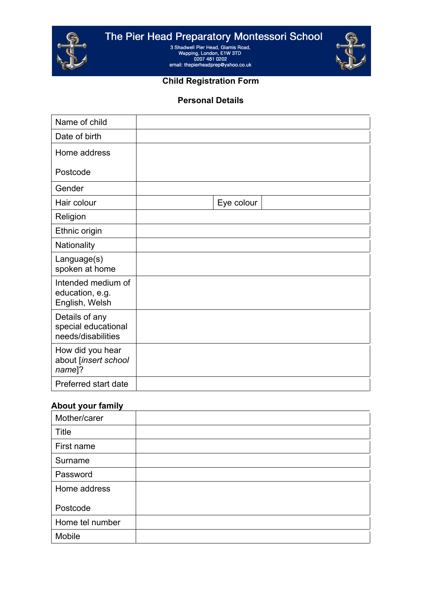

The Pier Head Preparatory Montessori School<br>
3 Shadwell Pier Head, Glamis Road,<br>
Wapping, London, E1W 3TD<br>
0207 481 0202<br>
email: thepierheadprep@yahoo.co.uk



#### **Child Registration Form**

#### **Personal Details**

| Name of child                                               |            |
|-------------------------------------------------------------|------------|
| Date of birth                                               |            |
| Home address                                                |            |
| Postcode                                                    |            |
| Gender                                                      |            |
| Hair colour                                                 | Eye colour |
| Religion                                                    |            |
| Ethnic origin                                               |            |
| Nationality                                                 |            |
| Language(s)<br>spoken at home                               |            |
| Intended medium of<br>education, e.g.<br>English, Welsh     |            |
| Details of any<br>special educational<br>needs/disabilities |            |
| How did you hear<br>about [insert school<br>name]?          |            |
| Preferred start date                                        |            |

# **About your family**

| Mother/carer    |  |
|-----------------|--|
| Title           |  |
| First name      |  |
| Surname         |  |
| Password        |  |
| Home address    |  |
| Postcode        |  |
| Home tel number |  |
| Mobile          |  |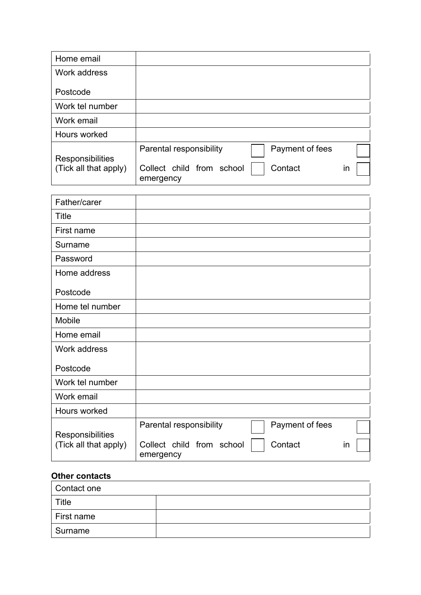| Home email            |                                                   |    |
|-----------------------|---------------------------------------------------|----|
| Work address          |                                                   |    |
| Postcode              |                                                   |    |
| Work tel number       |                                                   |    |
| Work email            |                                                   |    |
| Hours worked          |                                                   |    |
| Responsibilities      | Payment of fees<br>Parental responsibility        |    |
| (Tick all that apply) | Collect child from school<br>Contact<br>emergency | in |

| Payment of fees<br>Parental responsibility<br>Collect child from school<br>Contact | in        |
|------------------------------------------------------------------------------------|-----------|
|                                                                                    | emergency |

# **Other contacts**

| Contact one |  |
|-------------|--|
| Title       |  |
| First name  |  |
| Surname     |  |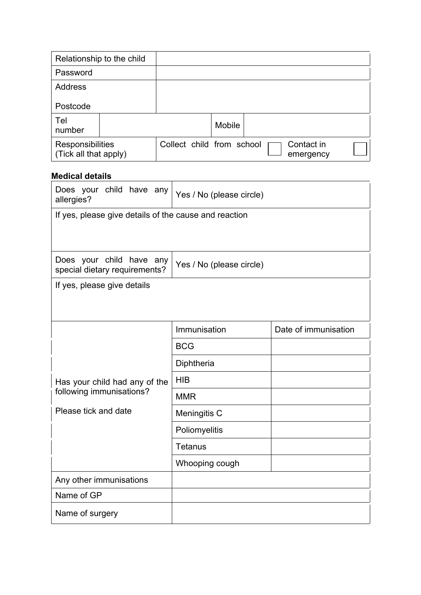|                                           | Relationship to the child |                           |               |                         |  |
|-------------------------------------------|---------------------------|---------------------------|---------------|-------------------------|--|
| Password                                  |                           |                           |               |                         |  |
| <b>Address</b>                            |                           |                           |               |                         |  |
| Postcode                                  |                           |                           |               |                         |  |
| Tel<br>number                             |                           |                           | <b>Mobile</b> |                         |  |
| Responsibilities<br>(Tick all that apply) |                           | Collect child from school |               | Contact in<br>emergency |  |

# **Medical details**

| Does your child have any<br>allergies?                    | Yes / No (please circle) |                      |  |
|-----------------------------------------------------------|--------------------------|----------------------|--|
| If yes, please give details of the cause and reaction     |                          |                      |  |
|                                                           |                          |                      |  |
| Does your child have any<br>special dietary requirements? | Yes / No (please circle) |                      |  |
| If yes, please give details                               |                          |                      |  |
|                                                           |                          |                      |  |
|                                                           | Immunisation             | Date of immunisation |  |
|                                                           | <b>BCG</b>               |                      |  |
|                                                           | Diphtheria               |                      |  |
| Has your child had any of the                             | <b>HIB</b>               |                      |  |
| following immunisations?                                  | <b>MMR</b>               |                      |  |
| Please tick and date                                      | Meningitis C             |                      |  |
|                                                           | Poliomyelitis            |                      |  |
|                                                           | <b>Tetanus</b>           |                      |  |
|                                                           | Whooping cough           |                      |  |
| Any other immunisations                                   |                          |                      |  |
| Name of GP                                                |                          |                      |  |
| Name of surgery                                           |                          |                      |  |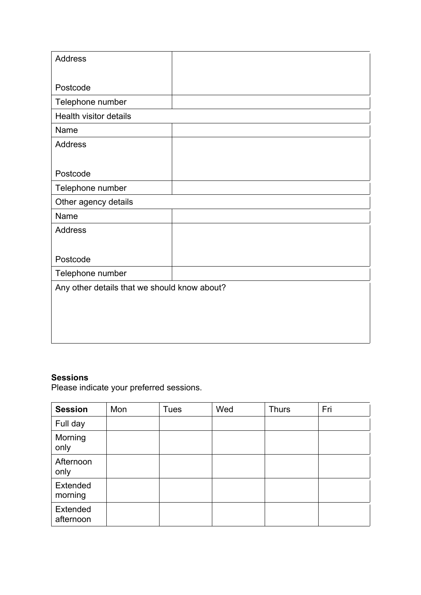| <b>Address</b>                               |  |
|----------------------------------------------|--|
|                                              |  |
| Postcode                                     |  |
| Telephone number                             |  |
| Health visitor details                       |  |
| Name                                         |  |
| <b>Address</b>                               |  |
|                                              |  |
| Postcode                                     |  |
| Telephone number                             |  |
| Other agency details                         |  |
| Name                                         |  |
| <b>Address</b>                               |  |
|                                              |  |
| Postcode                                     |  |
| Telephone number                             |  |
| Any other details that we should know about? |  |
|                                              |  |
|                                              |  |
|                                              |  |
|                                              |  |

#### **Sessions**

Please indicate your preferred sessions.

| <b>Session</b>        | Mon | <b>Tues</b> | Wed | <b>Thurs</b> | Fri |
|-----------------------|-----|-------------|-----|--------------|-----|
| Full day              |     |             |     |              |     |
| Morning<br>only       |     |             |     |              |     |
| Afternoon<br>only     |     |             |     |              |     |
| Extended<br>morning   |     |             |     |              |     |
| Extended<br>afternoon |     |             |     |              |     |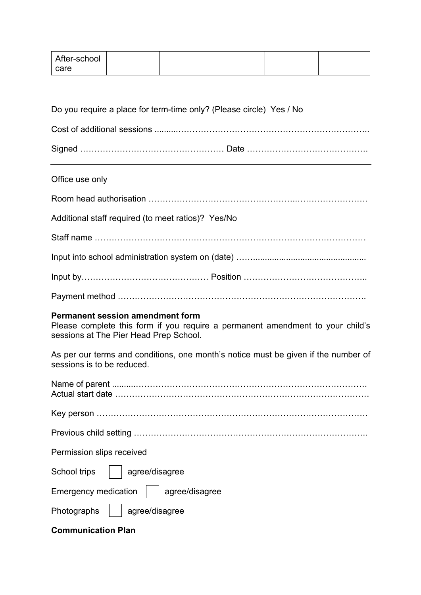| After-school |  |  |  |
|--------------|--|--|--|
| care         |  |  |  |

| Do you require a place for term-time only? (Please circle) Yes / No |  |
|---------------------------------------------------------------------|--|
|                                                                     |  |
|                                                                     |  |

# Office use only

| Additional staff required (to meet ratios)? Yes/No |
|----------------------------------------------------|
|                                                    |
|                                                    |
|                                                    |
|                                                    |

#### **Permanent session amendment form**

Please complete this form if you require a permanent amendment to your child's sessions at The Pier Head Prep School.

As per our terms and conditions, one month's notice must be given if the number of sessions is to be reduced.

| Permission slips received                     |
|-----------------------------------------------|
| School trips<br>agree/disagree                |
| Emergency medication $\vert$   agree/disagree |
| Photographs<br>agree/disagree                 |
| <b>Communication Plan</b>                     |